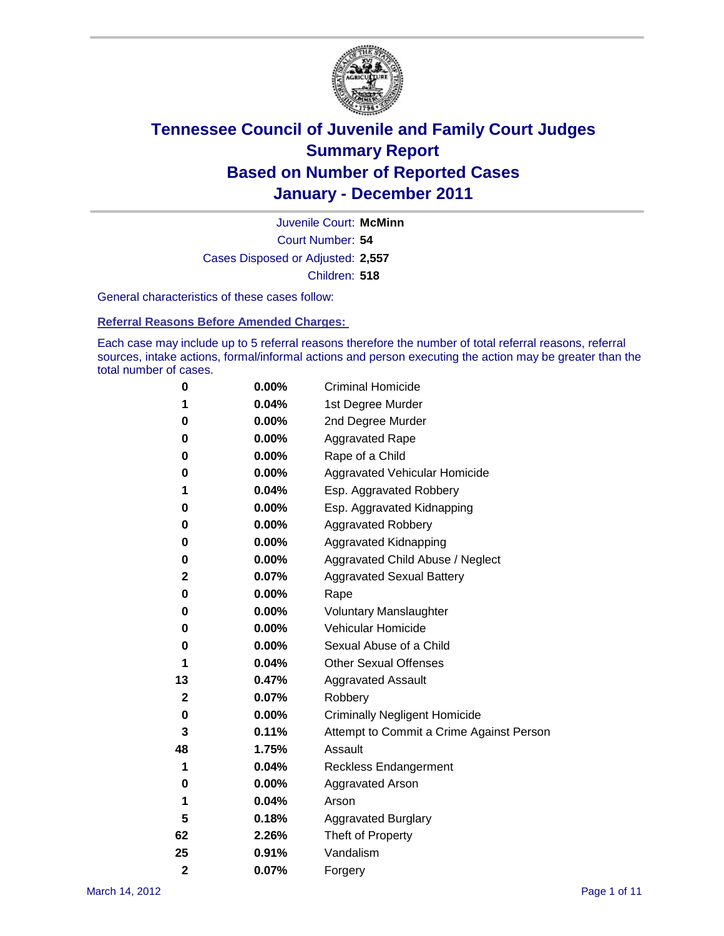

Court Number: **54** Juvenile Court: **McMinn** Cases Disposed or Adjusted: **2,557** Children: **518**

General characteristics of these cases follow:

**Referral Reasons Before Amended Charges:** 

Each case may include up to 5 referral reasons therefore the number of total referral reasons, referral sources, intake actions, formal/informal actions and person executing the action may be greater than the total number of cases.

| 0              | 0.00%    | <b>Criminal Homicide</b>                 |  |  |  |
|----------------|----------|------------------------------------------|--|--|--|
| 1              | 0.04%    | 1st Degree Murder                        |  |  |  |
| 0              | 0.00%    | 2nd Degree Murder                        |  |  |  |
| 0              | 0.00%    | <b>Aggravated Rape</b>                   |  |  |  |
| 0              | 0.00%    | Rape of a Child                          |  |  |  |
| 0              | 0.00%    | Aggravated Vehicular Homicide            |  |  |  |
| 1              | 0.04%    | Esp. Aggravated Robbery                  |  |  |  |
| 0              | 0.00%    | Esp. Aggravated Kidnapping               |  |  |  |
| 0              | 0.00%    | <b>Aggravated Robbery</b>                |  |  |  |
| 0              | 0.00%    | Aggravated Kidnapping                    |  |  |  |
| 0              | 0.00%    | Aggravated Child Abuse / Neglect         |  |  |  |
| 2              | 0.07%    | <b>Aggravated Sexual Battery</b>         |  |  |  |
| 0              | 0.00%    | Rape                                     |  |  |  |
| 0              | $0.00\%$ | <b>Voluntary Manslaughter</b>            |  |  |  |
| 0              | 0.00%    | Vehicular Homicide                       |  |  |  |
| 0              | 0.00%    | Sexual Abuse of a Child                  |  |  |  |
| 1              | 0.04%    | <b>Other Sexual Offenses</b>             |  |  |  |
| 13             | 0.47%    | <b>Aggravated Assault</b>                |  |  |  |
| 2              | 0.07%    | Robbery                                  |  |  |  |
| 0              | 0.00%    | <b>Criminally Negligent Homicide</b>     |  |  |  |
| 3              | 0.11%    | Attempt to Commit a Crime Against Person |  |  |  |
| 48             | 1.75%    | Assault                                  |  |  |  |
| 1              | 0.04%    | <b>Reckless Endangerment</b>             |  |  |  |
| 0              | 0.00%    | <b>Aggravated Arson</b>                  |  |  |  |
| 1              | 0.04%    | Arson                                    |  |  |  |
| 5              | 0.18%    | <b>Aggravated Burglary</b>               |  |  |  |
| 62             | 2.26%    | Theft of Property                        |  |  |  |
| 25             | 0.91%    | Vandalism                                |  |  |  |
| $\overline{2}$ | 0.07%    | Forgery                                  |  |  |  |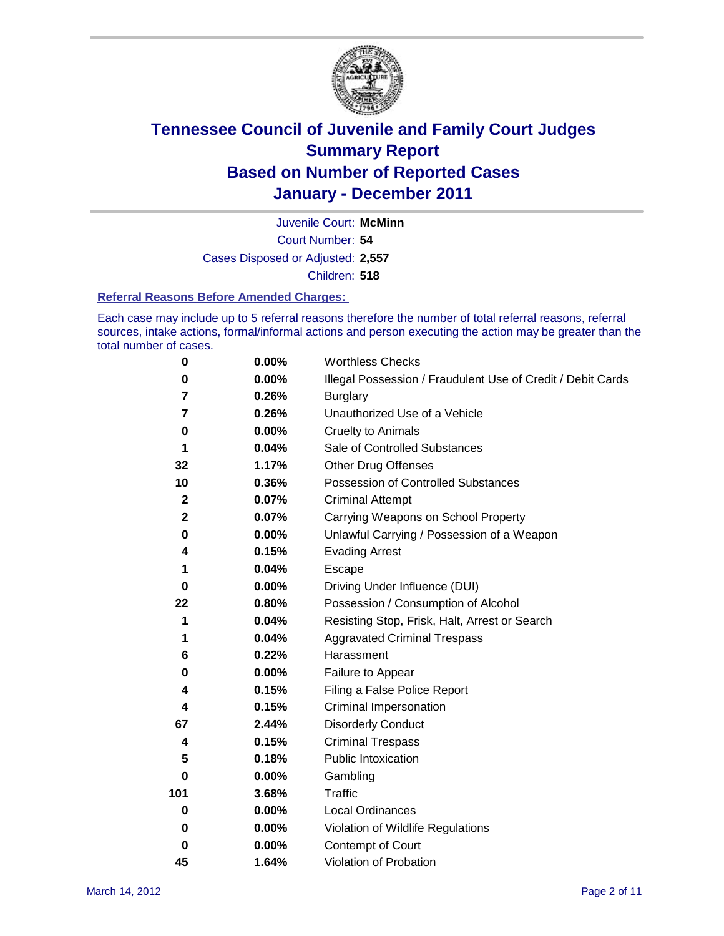

Court Number: **54** Juvenile Court: **McMinn** Cases Disposed or Adjusted: **2,557** Children: **518**

#### **Referral Reasons Before Amended Charges:**

Each case may include up to 5 referral reasons therefore the number of total referral reasons, referral sources, intake actions, formal/informal actions and person executing the action may be greater than the total number of cases.

| $\pmb{0}$      | 0.00%    | <b>Worthless Checks</b>                                     |
|----------------|----------|-------------------------------------------------------------|
| 0              | 0.00%    | Illegal Possession / Fraudulent Use of Credit / Debit Cards |
| 7              | 0.26%    | <b>Burglary</b>                                             |
| $\overline{7}$ | 0.26%    | Unauthorized Use of a Vehicle                               |
| 0              | $0.00\%$ | <b>Cruelty to Animals</b>                                   |
| 1              | 0.04%    | Sale of Controlled Substances                               |
| 32             | 1.17%    | <b>Other Drug Offenses</b>                                  |
| 10             | 0.36%    | Possession of Controlled Substances                         |
| $\mathbf 2$    | 0.07%    | <b>Criminal Attempt</b>                                     |
| $\mathbf 2$    | 0.07%    | Carrying Weapons on School Property                         |
| 0              | $0.00\%$ | Unlawful Carrying / Possession of a Weapon                  |
| 4              | 0.15%    | <b>Evading Arrest</b>                                       |
| 1              | 0.04%    | Escape                                                      |
| 0              | $0.00\%$ | Driving Under Influence (DUI)                               |
| 22             | 0.80%    | Possession / Consumption of Alcohol                         |
| 1              | 0.04%    | Resisting Stop, Frisk, Halt, Arrest or Search               |
| 1              | 0.04%    | <b>Aggravated Criminal Trespass</b>                         |
| 6              | 0.22%    | Harassment                                                  |
| 0              | 0.00%    | Failure to Appear                                           |
| 4              | 0.15%    | Filing a False Police Report                                |
| 4              | 0.15%    | Criminal Impersonation                                      |
| 67             | 2.44%    | <b>Disorderly Conduct</b>                                   |
| 4              | 0.15%    | <b>Criminal Trespass</b>                                    |
| 5              | 0.18%    | Public Intoxication                                         |
| 0              | $0.00\%$ | Gambling                                                    |
| 101            | 3.68%    | <b>Traffic</b>                                              |
| 0              | $0.00\%$ | Local Ordinances                                            |
| 0              | $0.00\%$ | Violation of Wildlife Regulations                           |
| 0              | $0.00\%$ | Contempt of Court                                           |
| 45             | 1.64%    | Violation of Probation                                      |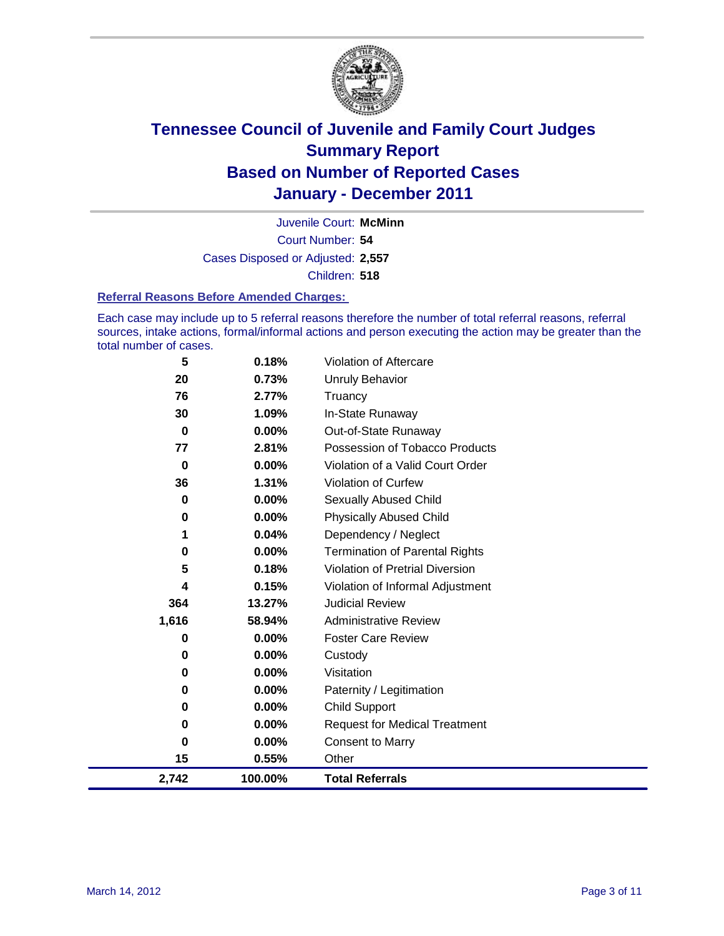

Court Number: **54** Juvenile Court: **McMinn** Cases Disposed or Adjusted: **2,557** Children: **518**

#### **Referral Reasons Before Amended Charges:**

Each case may include up to 5 referral reasons therefore the number of total referral reasons, referral sources, intake actions, formal/informal actions and person executing the action may be greater than the total number of cases.

| 5         | 0.18%    | Violation of Aftercare                 |
|-----------|----------|----------------------------------------|
| 20        | 0.73%    | <b>Unruly Behavior</b>                 |
| 76        | 2.77%    | Truancy                                |
| 30        | 1.09%    | In-State Runaway                       |
| 0         | $0.00\%$ | Out-of-State Runaway                   |
| 77        | 2.81%    | Possession of Tobacco Products         |
| $\bf{0}$  | $0.00\%$ | Violation of a Valid Court Order       |
| 36        | 1.31%    | Violation of Curfew                    |
| 0         | $0.00\%$ | Sexually Abused Child                  |
| 0         | 0.00%    | <b>Physically Abused Child</b>         |
| 1         | 0.04%    | Dependency / Neglect                   |
| 0         | 0.00%    | <b>Termination of Parental Rights</b>  |
| 5         | 0.18%    | <b>Violation of Pretrial Diversion</b> |
| 4         | 0.15%    | Violation of Informal Adjustment       |
| 364       | 13.27%   | <b>Judicial Review</b>                 |
| 1,616     | 58.94%   | <b>Administrative Review</b>           |
| 0         | 0.00%    | <b>Foster Care Review</b>              |
| 0         | $0.00\%$ | Custody                                |
| 0         | 0.00%    | Visitation                             |
| 0         | $0.00\%$ | Paternity / Legitimation               |
| 0         | 0.00%    | <b>Child Support</b>                   |
| $\pmb{0}$ | $0.00\%$ | <b>Request for Medical Treatment</b>   |
| 0         | $0.00\%$ | <b>Consent to Marry</b>                |
| 15        | 0.55%    | Other                                  |
| 2,742     | 100.00%  | <b>Total Referrals</b>                 |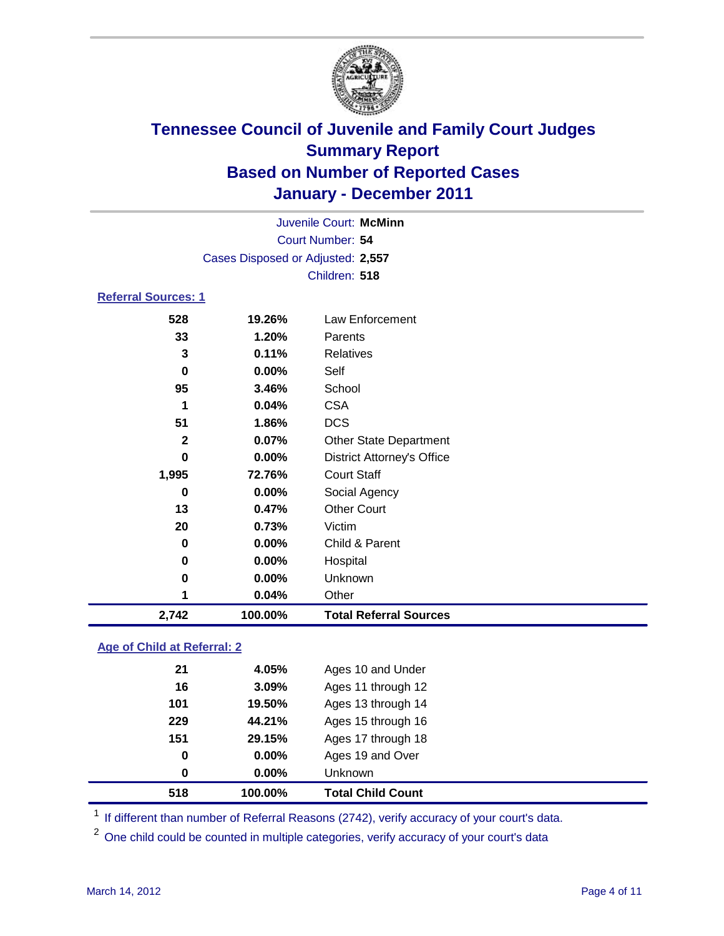

|                            |                                   | Juvenile Court: McMinn            |  |  |
|----------------------------|-----------------------------------|-----------------------------------|--|--|
| Court Number: 54           |                                   |                                   |  |  |
|                            | Cases Disposed or Adjusted: 2,557 |                                   |  |  |
|                            |                                   | Children: 518                     |  |  |
| <b>Referral Sources: 1</b> |                                   |                                   |  |  |
| 528                        | 19.26%                            | Law Enforcement                   |  |  |
| 33                         | 1.20%                             | Parents                           |  |  |
| 3                          | 0.11%                             | Relatives                         |  |  |
| 0                          | 0.00%                             | Self                              |  |  |
| 95                         | 3.46%                             | School                            |  |  |
| 1                          | 0.04%                             | <b>CSA</b>                        |  |  |
| 51                         | 1.86%                             | <b>DCS</b>                        |  |  |
| $\mathbf{2}$               | 0.07%                             | <b>Other State Department</b>     |  |  |
| 0                          | $0.00\%$                          | <b>District Attorney's Office</b> |  |  |
| 1,995                      | 72.76%                            | <b>Court Staff</b>                |  |  |
| 0                          | 0.00%                             | Social Agency                     |  |  |
| 13                         | 0.47%                             | <b>Other Court</b>                |  |  |
| 20                         | 0.73%                             | Victim                            |  |  |
| 0                          | 0.00%                             | Child & Parent                    |  |  |
| 0                          | $0.00\%$                          | Hospital                          |  |  |
| 0                          | 0.00%                             | Unknown                           |  |  |

### **Age of Child at Referral: 2**

| 518 | 100.00%  | <b>Total Child Count</b> |
|-----|----------|--------------------------|
| 0   | $0.00\%$ | <b>Unknown</b>           |
| 0   | 0.00%    | Ages 19 and Over         |
| 151 | 29.15%   | Ages 17 through 18       |
| 229 | 44.21%   | Ages 15 through 16       |
| 101 | 19.50%   | Ages 13 through 14       |
| 16  | 3.09%    | Ages 11 through 12       |
| 21  | 4.05%    | Ages 10 and Under        |
|     |          |                          |

<sup>1</sup> If different than number of Referral Reasons (2742), verify accuracy of your court's data.

<sup>2</sup> One child could be counted in multiple categories, verify accuracy of your court's data

**0.04%** Other

**2,742 100.00% Total Referral Sources**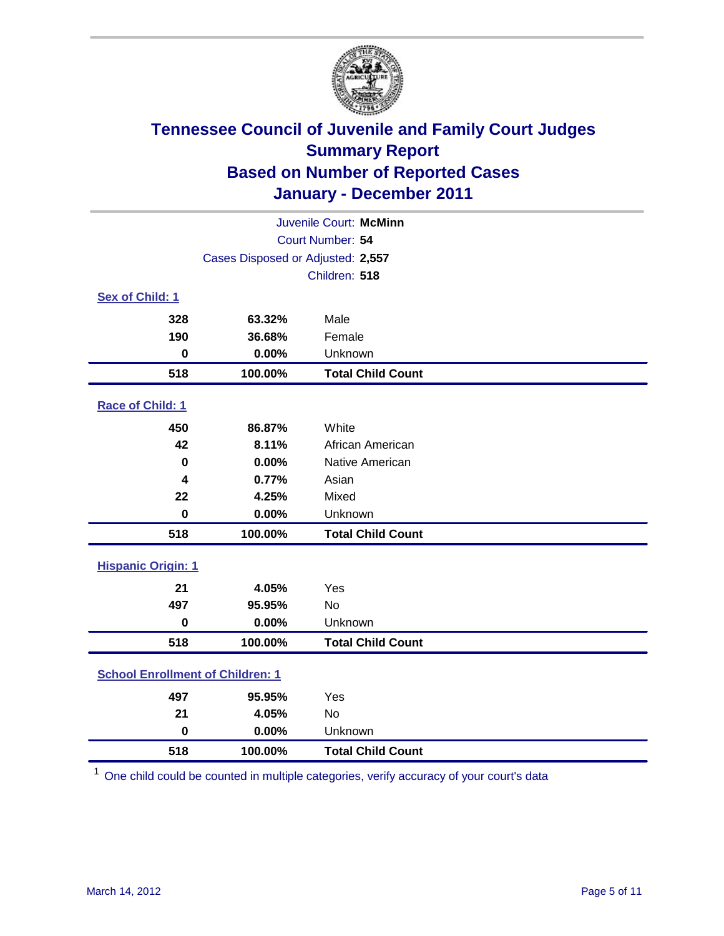

| Juvenile Court: McMinn                  |                                   |                          |  |  |  |
|-----------------------------------------|-----------------------------------|--------------------------|--|--|--|
|                                         | Court Number: 54                  |                          |  |  |  |
|                                         | Cases Disposed or Adjusted: 2,557 |                          |  |  |  |
|                                         |                                   | Children: 518            |  |  |  |
| Sex of Child: 1                         |                                   |                          |  |  |  |
| 328                                     | 63.32%                            | Male                     |  |  |  |
| 190                                     | 36.68%                            | Female                   |  |  |  |
| $\bf{0}$                                | 0.00%                             | Unknown                  |  |  |  |
| 518                                     | 100.00%                           | <b>Total Child Count</b> |  |  |  |
| Race of Child: 1                        |                                   |                          |  |  |  |
| 450                                     | 86.87%                            | White                    |  |  |  |
| 42                                      | 8.11%                             | African American         |  |  |  |
| $\bf{0}$                                | 0.00%                             | Native American          |  |  |  |
| 4                                       | 0.77%                             | Asian                    |  |  |  |
| 22                                      | 4.25%                             | Mixed                    |  |  |  |
| $\pmb{0}$                               | 0.00%                             | Unknown                  |  |  |  |
| 518                                     | 100.00%                           | <b>Total Child Count</b> |  |  |  |
| <b>Hispanic Origin: 1</b>               |                                   |                          |  |  |  |
| 21                                      | 4.05%                             | Yes                      |  |  |  |
| 497                                     | 95.95%                            | <b>No</b>                |  |  |  |
| $\bf{0}$                                | 0.00%                             | Unknown                  |  |  |  |
| 518                                     | 100.00%                           | <b>Total Child Count</b> |  |  |  |
| <b>School Enrollment of Children: 1</b> |                                   |                          |  |  |  |
| 497                                     | 95.95%                            | Yes                      |  |  |  |
| 21                                      | 4.05%                             | <b>No</b>                |  |  |  |
| $\mathbf 0$                             | 0.00%                             | Unknown                  |  |  |  |
| 518                                     | 100.00%                           | <b>Total Child Count</b> |  |  |  |

One child could be counted in multiple categories, verify accuracy of your court's data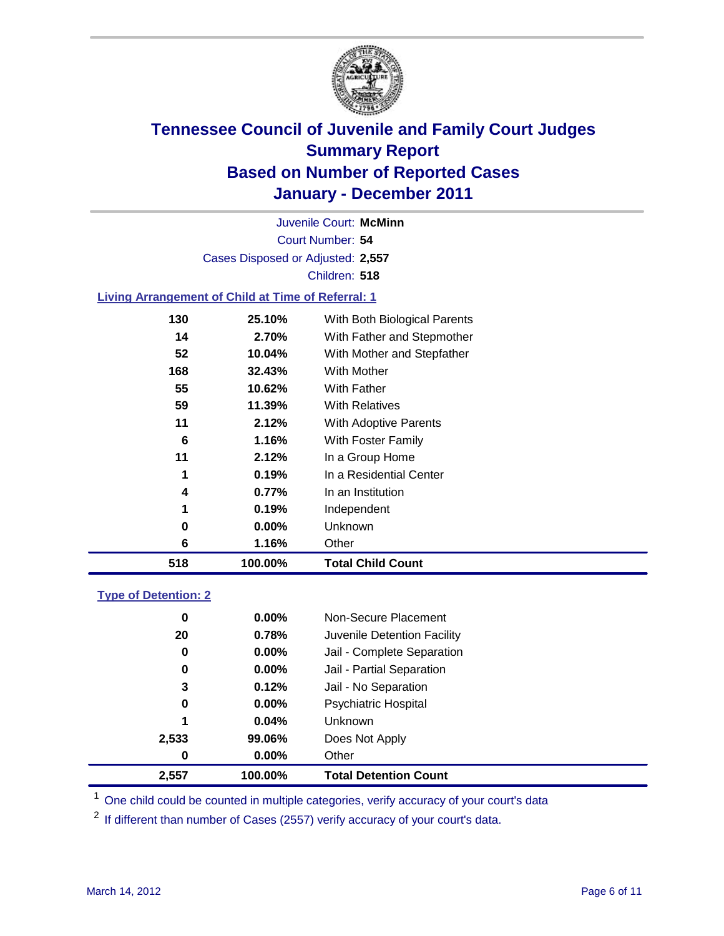

Court Number: **54** Juvenile Court: **McMinn** Cases Disposed or Adjusted: **2,557** Children: **518**

### **Living Arrangement of Child at Time of Referral: 1**

| 518 | 100.00%  | <b>Total Child Count</b>     |
|-----|----------|------------------------------|
| 6   | 1.16%    | Other                        |
| 0   | $0.00\%$ | Unknown                      |
| 1   | 0.19%    | Independent                  |
| 4   | 0.77%    | In an Institution            |
| 1   | 0.19%    | In a Residential Center      |
| 11  | 2.12%    | In a Group Home              |
| 6   | 1.16%    | With Foster Family           |
| 11  | 2.12%    | With Adoptive Parents        |
| 59  | 11.39%   | <b>With Relatives</b>        |
| 55  | 10.62%   | With Father                  |
| 168 | 32.43%   | With Mother                  |
| 52  | 10.04%   | With Mother and Stepfather   |
| 14  | 2.70%    | With Father and Stepmother   |
| 130 | 25.10%   | With Both Biological Parents |
|     |          |                              |

#### **Type of Detention: 2**

| 2,557 | 100.00%  | <b>Total Detention Count</b> |  |
|-------|----------|------------------------------|--|
| 0     | $0.00\%$ | Other                        |  |
| 2,533 | 99.06%   | Does Not Apply               |  |
| 1     | 0.04%    | Unknown                      |  |
| 0     | $0.00\%$ | <b>Psychiatric Hospital</b>  |  |
| 3     | 0.12%    | Jail - No Separation         |  |
| 0     | $0.00\%$ | Jail - Partial Separation    |  |
| 0     | 0.00%    | Jail - Complete Separation   |  |
| 20    | 0.78%    | Juvenile Detention Facility  |  |
| 0     | $0.00\%$ | Non-Secure Placement         |  |
|       |          |                              |  |

<sup>1</sup> One child could be counted in multiple categories, verify accuracy of your court's data

<sup>2</sup> If different than number of Cases (2557) verify accuracy of your court's data.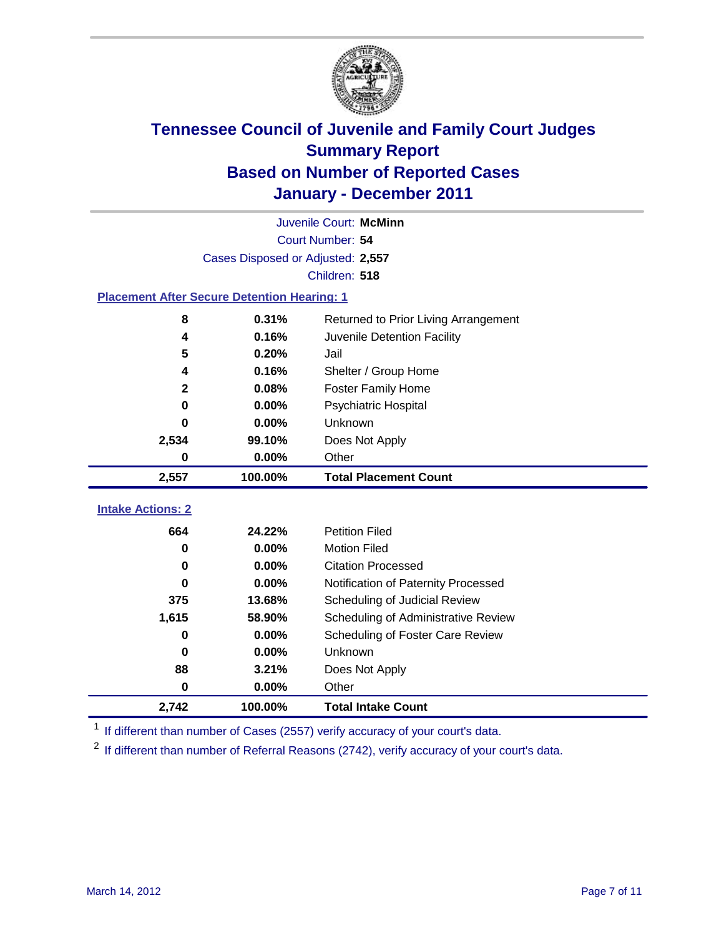

|                                                    | Juvenile Court: McMinn            |                                      |  |  |  |
|----------------------------------------------------|-----------------------------------|--------------------------------------|--|--|--|
|                                                    | Court Number: 54                  |                                      |  |  |  |
|                                                    | Cases Disposed or Adjusted: 2,557 |                                      |  |  |  |
|                                                    |                                   | Children: 518                        |  |  |  |
| <b>Placement After Secure Detention Hearing: 1</b> |                                   |                                      |  |  |  |
| 8                                                  | 0.31%                             | Returned to Prior Living Arrangement |  |  |  |
| 4                                                  | 0.16%                             | Juvenile Detention Facility          |  |  |  |
| 5                                                  | 0.20%                             | Jail                                 |  |  |  |
| 4                                                  | 0.16%                             | Shelter / Group Home                 |  |  |  |
| $\mathbf 2$                                        | 0.08%                             | <b>Foster Family Home</b>            |  |  |  |
| 0                                                  | 0.00%                             | Psychiatric Hospital                 |  |  |  |
| 0                                                  | 0.00%                             | Unknown                              |  |  |  |
| 2,534                                              | 99.10%                            | Does Not Apply                       |  |  |  |
| 0                                                  | $0.00\%$                          | Other                                |  |  |  |
| 2,557                                              | 100.00%                           | <b>Total Placement Count</b>         |  |  |  |
|                                                    |                                   |                                      |  |  |  |
| <b>Intake Actions: 2</b>                           |                                   |                                      |  |  |  |
| 664                                                | 24.22%                            | <b>Petition Filed</b>                |  |  |  |
| 0                                                  | 0.00%                             | <b>Motion Filed</b>                  |  |  |  |
| 0                                                  | 0.00%                             | <b>Citation Processed</b>            |  |  |  |
| 0                                                  | 0.00%                             | Notification of Paternity Processed  |  |  |  |
| 375                                                | 13.68%                            | Scheduling of Judicial Review        |  |  |  |
| 1,615                                              | 58.90%                            | Scheduling of Administrative Review  |  |  |  |
| 0                                                  | 0.00%                             | Scheduling of Foster Care Review     |  |  |  |
| $\bf{0}$                                           | 0.00%                             | Unknown                              |  |  |  |
| 88                                                 | 3.21%                             | Does Not Apply                       |  |  |  |
| $\bf{0}$                                           | 0.00%                             | Other                                |  |  |  |
| 2,742                                              | 100.00%                           | <b>Total Intake Count</b>            |  |  |  |

<sup>1</sup> If different than number of Cases (2557) verify accuracy of your court's data.

<sup>2</sup> If different than number of Referral Reasons (2742), verify accuracy of your court's data.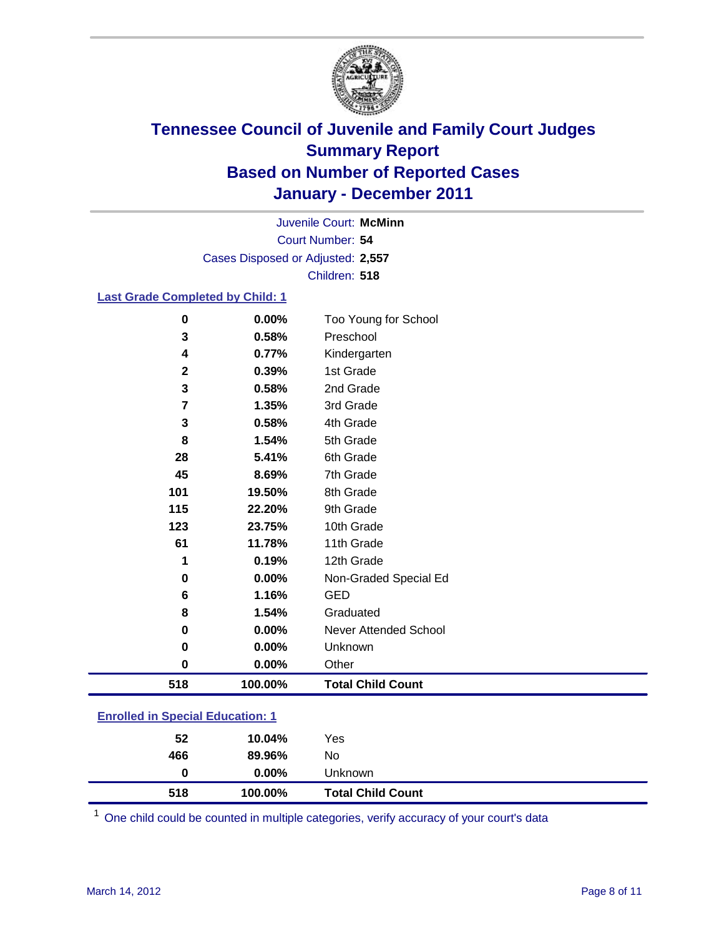

Court Number: **54** Juvenile Court: **McMinn** Cases Disposed or Adjusted: **2,557** Children: **518**

### **Last Grade Completed by Child: 1**

| $\pmb{0}$                               | 0.00%   | Too Young for School         |  |
|-----------------------------------------|---------|------------------------------|--|
| 3                                       | 0.58%   | Preschool                    |  |
| 4                                       | 0.77%   | Kindergarten                 |  |
| $\mathbf 2$                             | 0.39%   | 1st Grade                    |  |
| 3                                       | 0.58%   | 2nd Grade                    |  |
| 7                                       | 1.35%   | 3rd Grade                    |  |
| 3                                       | 0.58%   | 4th Grade                    |  |
| 8                                       | 1.54%   | 5th Grade                    |  |
| 28                                      | 5.41%   | 6th Grade                    |  |
| 45                                      | 8.69%   | 7th Grade                    |  |
| 101                                     | 19.50%  | 8th Grade                    |  |
| 115                                     | 22.20%  | 9th Grade                    |  |
| 123                                     | 23.75%  | 10th Grade                   |  |
| 61                                      | 11.78%  | 11th Grade                   |  |
| 1                                       | 0.19%   | 12th Grade                   |  |
| 0                                       | 0.00%   | Non-Graded Special Ed        |  |
| 6                                       | 1.16%   | <b>GED</b>                   |  |
| 8                                       | 1.54%   | Graduated                    |  |
| 0                                       | 0.00%   | <b>Never Attended School</b> |  |
| 0                                       | 0.00%   | Unknown                      |  |
| $\mathbf 0$                             | 0.00%   | Other                        |  |
| 518                                     | 100.00% | <b>Total Child Count</b>     |  |
| <b>Enrolled in Special Education: 1</b> |         |                              |  |

| 518 | 100.00%  | <b>Total Child Count</b> |  |
|-----|----------|--------------------------|--|
| 0   | $0.00\%$ | Unknown                  |  |
| 466 | 89.96%   | No                       |  |
| 52  | 10.04%   | Yes                      |  |
|     |          |                          |  |

One child could be counted in multiple categories, verify accuracy of your court's data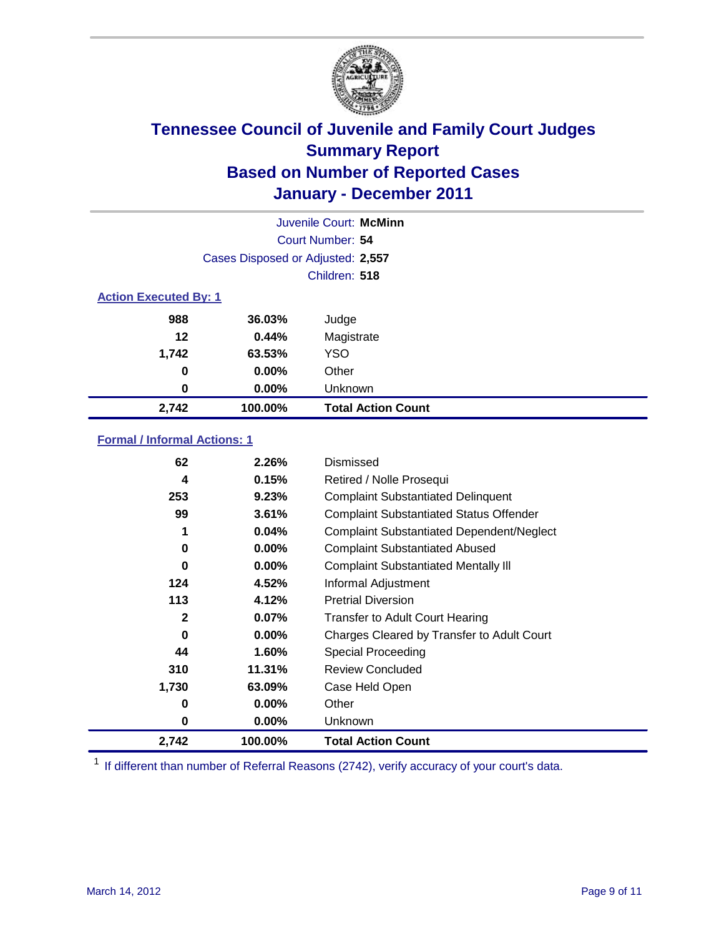

|                              | Juvenile Court: McMinn            |                           |  |  |
|------------------------------|-----------------------------------|---------------------------|--|--|
|                              | Court Number: 54                  |                           |  |  |
|                              | Cases Disposed or Adjusted: 2,557 |                           |  |  |
|                              |                                   | Children: 518             |  |  |
| <b>Action Executed By: 1</b> |                                   |                           |  |  |
| 988                          | 36.03%                            | Judge                     |  |  |
| 12                           | 0.44%                             | Magistrate                |  |  |
| 1,742                        | 63.53%                            | <b>YSO</b>                |  |  |
| 0                            | 0.00%                             | Other                     |  |  |
| 0                            | 0.00%                             | Unknown                   |  |  |
| 2,742                        | 100.00%                           | <b>Total Action Count</b> |  |  |

### **Formal / Informal Actions: 1**

| 62    | 2.26%    | Dismissed                                        |
|-------|----------|--------------------------------------------------|
| 4     | 0.15%    | Retired / Nolle Prosequi                         |
| 253   | 9.23%    | <b>Complaint Substantiated Delinquent</b>        |
| 99    | 3.61%    | <b>Complaint Substantiated Status Offender</b>   |
| 1     | 0.04%    | <b>Complaint Substantiated Dependent/Neglect</b> |
| 0     | $0.00\%$ | <b>Complaint Substantiated Abused</b>            |
| 0     | $0.00\%$ | <b>Complaint Substantiated Mentally III</b>      |
| 124   | 4.52%    | Informal Adjustment                              |
| 113   | 4.12%    | <b>Pretrial Diversion</b>                        |
| 2     | $0.07\%$ | <b>Transfer to Adult Court Hearing</b>           |
| 0     | $0.00\%$ | Charges Cleared by Transfer to Adult Court       |
| 44    | 1.60%    | Special Proceeding                               |
| 310   | 11.31%   | <b>Review Concluded</b>                          |
| 1,730 | 63.09%   | Case Held Open                                   |
| 0     | $0.00\%$ | Other                                            |
| 0     | $0.00\%$ | Unknown                                          |
| 2,742 | 100.00%  | Total Action Count                               |

<sup>1</sup> If different than number of Referral Reasons (2742), verify accuracy of your court's data.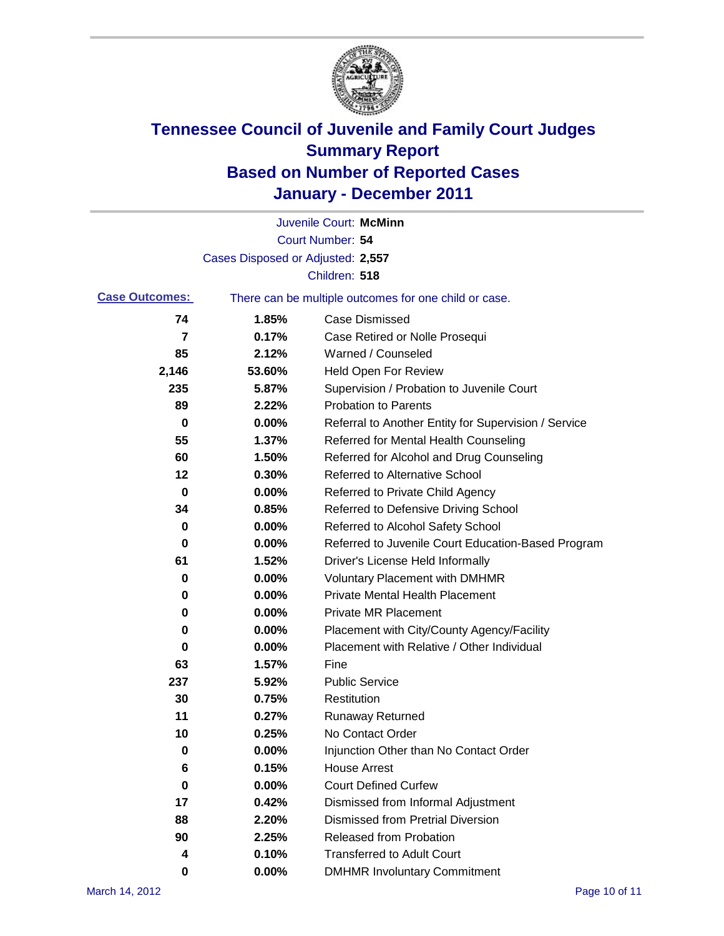

|                       |                                   | Juvenile Court: McMinn                                |
|-----------------------|-----------------------------------|-------------------------------------------------------|
|                       |                                   | Court Number: 54                                      |
|                       | Cases Disposed or Adjusted: 2,557 |                                                       |
|                       |                                   | Children: 518                                         |
| <b>Case Outcomes:</b> |                                   | There can be multiple outcomes for one child or case. |
| 74                    | 1.85%                             | <b>Case Dismissed</b>                                 |
| 7                     | 0.17%                             | Case Retired or Nolle Prosequi                        |
| 85                    | 2.12%                             | Warned / Counseled                                    |
| 2,146                 | 53.60%                            | <b>Held Open For Review</b>                           |
| 235                   | 5.87%                             | Supervision / Probation to Juvenile Court             |
| 89                    | 2.22%                             | <b>Probation to Parents</b>                           |
| 0                     | 0.00%                             | Referral to Another Entity for Supervision / Service  |
| 55                    | 1.37%                             | Referred for Mental Health Counseling                 |
| 60                    | 1.50%                             | Referred for Alcohol and Drug Counseling              |
| 12                    | 0.30%                             | <b>Referred to Alternative School</b>                 |
| 0                     | 0.00%                             | Referred to Private Child Agency                      |
| 34                    | 0.85%                             | Referred to Defensive Driving School                  |
| 0                     | 0.00%                             | Referred to Alcohol Safety School                     |
| 0                     | 0.00%                             | Referred to Juvenile Court Education-Based Program    |
| 61                    | 1.52%                             | Driver's License Held Informally                      |
| 0                     | 0.00%                             | <b>Voluntary Placement with DMHMR</b>                 |
| 0                     | 0.00%                             | <b>Private Mental Health Placement</b>                |
| 0                     | 0.00%                             | <b>Private MR Placement</b>                           |
| 0                     | 0.00%                             | Placement with City/County Agency/Facility            |
| 0                     | 0.00%                             | Placement with Relative / Other Individual            |
| 63                    | 1.57%                             | Fine                                                  |
| 237                   | 5.92%                             | <b>Public Service</b>                                 |
| 30                    | 0.75%                             | Restitution                                           |
| 11                    | 0.27%                             | <b>Runaway Returned</b>                               |
| 10                    | 0.25%                             | No Contact Order                                      |
| 0                     | 0.00%                             | Injunction Other than No Contact Order                |
| 6                     | 0.15%                             | <b>House Arrest</b>                                   |
| 0                     | 0.00%                             | <b>Court Defined Curfew</b>                           |
| 17                    | 0.42%                             | Dismissed from Informal Adjustment                    |
| 88                    | 2.20%                             | <b>Dismissed from Pretrial Diversion</b>              |
| 90                    | 2.25%                             | Released from Probation                               |
| 4                     | 0.10%                             | <b>Transferred to Adult Court</b>                     |
| 0                     | $0.00\%$                          | <b>DMHMR Involuntary Commitment</b>                   |